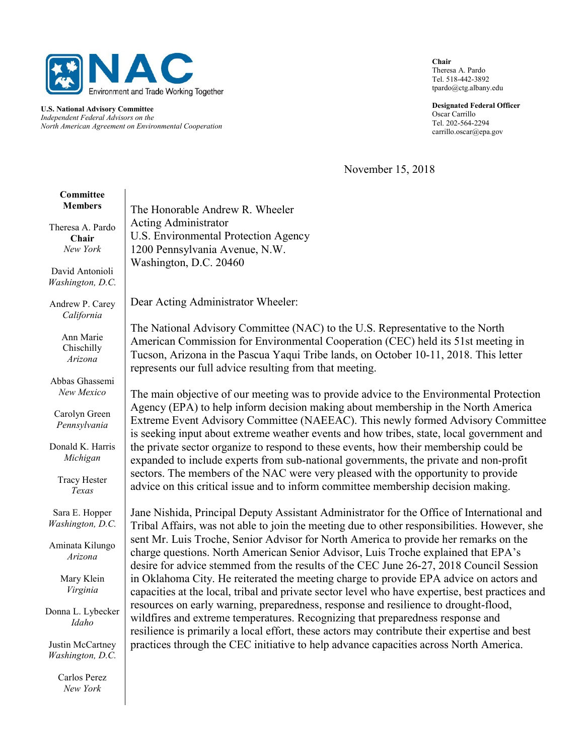

U.S. National Advisory Committee Independent Federal Advisors on the North American Agreement on Environmental Cooperation Chair Theresa A. Pardo Tel. 518-442-3892 tpardo@ctg.albany.edu

Designated Federal Officer Oscar Carrillo Tel. 202-564-2294 carrillo.oscar@epa.gov

November 15, 2018

| Committee<br><b>Members</b>           | The Honorable Andrew R. Wheeler                                                                                                                                                                                                                                                                                      |
|---------------------------------------|----------------------------------------------------------------------------------------------------------------------------------------------------------------------------------------------------------------------------------------------------------------------------------------------------------------------|
| Theresa A. Pardo<br>Chair<br>New York | <b>Acting Administrator</b><br>U.S. Environmental Protection Agency<br>1200 Pennsylvania Avenue, N.W.                                                                                                                                                                                                                |
| David Antonioli<br>Washington, D.C.   | Washington, D.C. 20460                                                                                                                                                                                                                                                                                               |
| Andrew P. Carey<br>California         | Dear Acting Administrator Wheeler:                                                                                                                                                                                                                                                                                   |
| Ann Marie<br>Chischilly<br>Arizona    | The National Advisory Committee (NAC) to the U.S. Representative to the North<br>American Commission for Environmental Cooperation (CEC) held its 51st meeting in<br>Tucson, Arizona in the Pascua Yaqui Tribe lands, on October 10-11, 2018. This letter<br>represents our full advice resulting from that meeting. |
| Abbas Ghassemi<br>New Mexico          | The main objective of our meeting was to provide advice to the Environmental Protection                                                                                                                                                                                                                              |
| Carolyn Green<br>Pennsylvania         | Agency (EPA) to help inform decision making about membership in the North America<br>Extreme Event Advisory Committee (NAEEAC). This newly formed Advisory Committee<br>is seeking input about extreme weather events and how tribes, state, local government and                                                    |
| Donald K. Harris<br>Michigan          | the private sector organize to respond to these events, how their membership could be<br>expanded to include experts from sub-national governments, the private and non-profit                                                                                                                                       |
| <b>Tracy Hester</b><br>Texas          | sectors. The members of the NAC were very pleased with the opportunity to provide<br>advice on this critical issue and to inform committee membership decision making.                                                                                                                                               |
| Sara E. Hopper<br>Washington, D.C.    | Jane Nishida, Principal Deputy Assistant Administrator for the Office of International and<br>Tribal Affairs, was not able to join the meeting due to other responsibilities. However, she                                                                                                                           |
| Aminata Kilungo<br>Arizona            | sent Mr. Luis Troche, Senior Advisor for North America to provide her remarks on the<br>charge questions. North American Senior Advisor, Luis Troche explained that EPA's<br>desire for advice stemmed from the results of the CEC June 26-27, 2018 Council Session                                                  |
| Mary Klein<br>Virginia                | in Oklahoma City. He reiterated the meeting charge to provide EPA advice on actors and<br>capacities at the local, tribal and private sector level who have expertise, best practices and                                                                                                                            |
| Donna L. Lybecker<br>Idaho            | resources on early warning, preparedness, response and resilience to drought-flood,<br>wildfires and extreme temperatures. Recognizing that preparedness response and<br>resilience is primarily a local effort, these actors may contribute their expertise and best                                                |
| Justin McCartney<br>Washington, D.C.  | practices through the CEC initiative to help advance capacities across North America.                                                                                                                                                                                                                                |
| Carlos Perez<br>New York              |                                                                                                                                                                                                                                                                                                                      |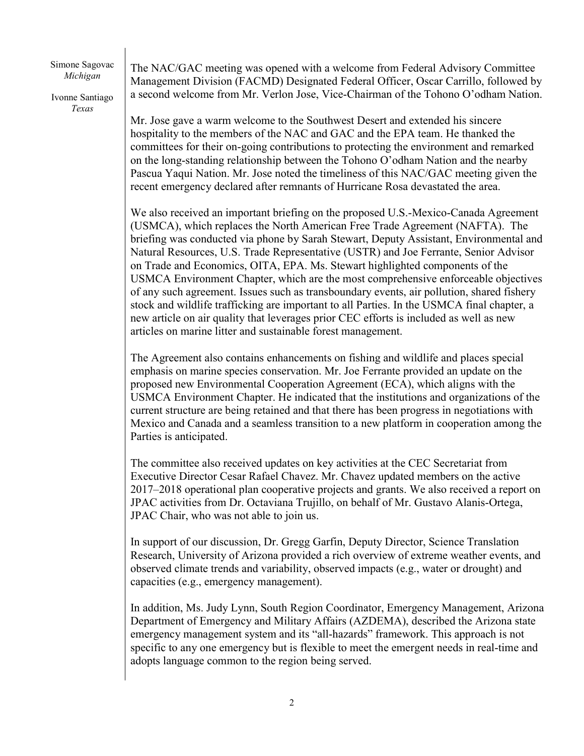Simone Sagovac Michigan

Ivonne Santiago Texas

The NAC/GAC meeting was opened with a welcome from Federal Advisory Committee Management Division (FACMD) Designated Federal Officer, Oscar Carrillo, followed by a second welcome from Mr. Verlon Jose, Vice-Chairman of the Tohono O'odham Nation.

Mr. Jose gave a warm welcome to the Southwest Desert and extended his sincere hospitality to the members of the NAC and GAC and the EPA team. He thanked the committees for their on-going contributions to protecting the environment and remarked on the long-standing relationship between the Tohono O'odham Nation and the nearby Pascua Yaqui Nation. Mr. Jose noted the timeliness of this NAC/GAC meeting given the recent emergency declared after remnants of Hurricane Rosa devastated the area.

We also received an important briefing on the proposed U.S.-Mexico-Canada Agreement (USMCA), which replaces the North American Free Trade Agreement (NAFTA). The briefing was conducted via phone by Sarah Stewart, Deputy Assistant, Environmental and Natural Resources, U.S. Trade Representative (USTR) and Joe Ferrante, Senior Advisor on Trade and Economics, OITA, EPA. Ms. Stewart highlighted components of the USMCA Environment Chapter, which are the most comprehensive enforceable objectives of any such agreement. Issues such as transboundary events, air pollution, shared fishery stock and wildlife trafficking are important to all Parties. In the USMCA final chapter, a new article on air quality that leverages prior CEC efforts is included as well as new articles on marine litter and sustainable forest management.

The Agreement also contains enhancements on fishing and wildlife and places special emphasis on marine species conservation. Mr. Joe Ferrante provided an update on the proposed new Environmental Cooperation Agreement (ECA), which aligns with the USMCA Environment Chapter. He indicated that the institutions and organizations of the current structure are being retained and that there has been progress in negotiations with Mexico and Canada and a seamless transition to a new platform in cooperation among the Parties is anticipated.

The committee also received updates on key activities at the CEC Secretariat from Executive Director Cesar Rafael Chavez. Mr. Chavez updated members on the active 2017–2018 operational plan cooperative projects and grants. We also received a report on JPAC activities from Dr. Octaviana Trujillo, on behalf of Mr. Gustavo Alanis-Ortega, JPAC Chair, who was not able to join us.

In support of our discussion, Dr. Gregg Garfin, Deputy Director, Science Translation Research, University of Arizona provided a rich overview of extreme weather events, and observed climate trends and variability, observed impacts (e.g., water or drought) and capacities (e.g., emergency management).

In addition, Ms. Judy Lynn, South Region Coordinator, Emergency Management, Arizona Department of Emergency and Military Affairs (AZDEMA), described the Arizona state emergency management system and its "all-hazards" framework. This approach is not specific to any one emergency but is flexible to meet the emergent needs in real-time and adopts language common to the region being served.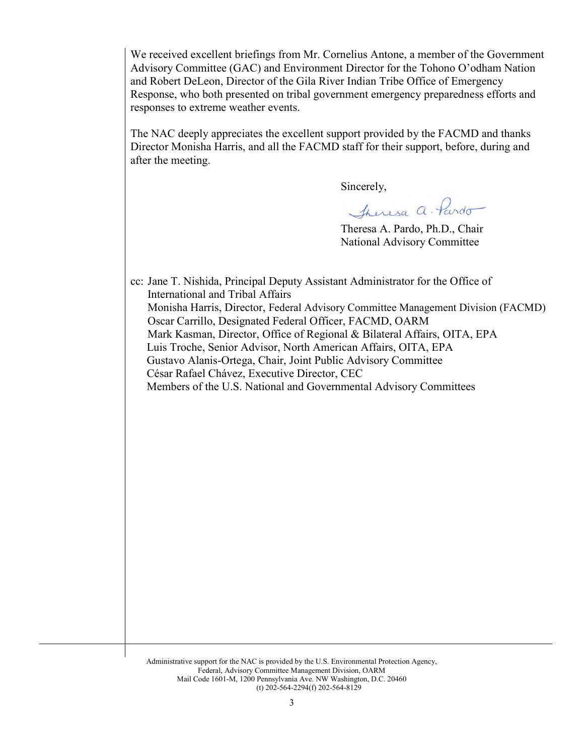We received excellent briefings from Mr. Cornelius Antone, a member of the Government Advisory Committee (GAC) and Environment Director for the Tohono O'odham Nation and Robert DeLeon, Director of the Gila River Indian Tribe Office of Emergency Response, who both presented on tribal government emergency preparedness efforts and responses to extreme weather events.

The NAC deeply appreciates the excellent support provided by the FACMD and thanks Director Monisha Harris, and all the FACMD staff for their support, before, during and after the meeting.

Sincerely,

Theresa a. Pardo

Theresa A. Pardo, Ph.D., Chair National Advisory Committee

cc: Jane T. Nishida, Principal Deputy Assistant Administrator for the Office of International and Tribal Affairs Monisha Harris, Director, Federal Advisory Committee Management Division (FACMD) Oscar Carrillo, Designated Federal Officer, FACMD, OARM Mark Kasman, Director, Office of Regional & Bilateral Affairs, OITA, EPA Luis Troche, Senior Advisor, North American Affairs, OITA, EPA Gustavo Alanis-Ortega, Chair, Joint Public Advisory Committee César Rafael Chávez, Executive Director, CEC Members of the U.S. National and Governmental Advisory Committees

Administrative support for the NAC is provided by the U.S. Environmental Protection Agency, Federal, Advisory Committee Management Division, OARM Mail Code 1601-M, 1200 Pennsylvania Ave. NW Washington, D.C. 20460 (t) 202-564-2294(f) 202-564-8129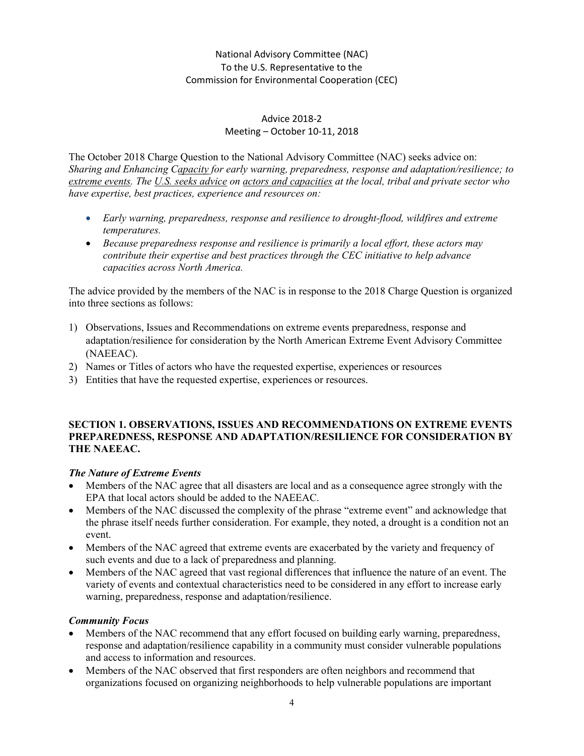## National Advisory Committee (NAC) To the U.S. Representative to the Commission for Environmental Cooperation (CEC)

#### Advice 2018-2 Meeting – October 10-11, 2018

The October 2018 Charge Question to the National Advisory Committee (NAC) seeks advice on: Sharing and Enhancing Capacity for early warning, preparedness, response and adaptation/resilience; to extreme events. The U.S. seeks advice on actors and capacities at the local, tribal and private sector who have expertise, best practices, experience and resources on:

- Early warning, preparedness, response and resilience to drought-flood, wildfires and extreme temperatures.
- Because preparedness response and resilience is primarily a local effort, these actors may contribute their expertise and best practices through the CEC initiative to help advance capacities across North America.

The advice provided by the members of the NAC is in response to the 2018 Charge Question is organized into three sections as follows:

- 1) Observations, Issues and Recommendations on extreme events preparedness, response and adaptation/resilience for consideration by the North American Extreme Event Advisory Committee (NAEEAC).
- 2) Names or Titles of actors who have the requested expertise, experiences or resources
- 3) Entities that have the requested expertise, experiences or resources.

#### SECTION 1. OBSERVATIONS, ISSUES AND RECOMMENDATIONS ON EXTREME EVENTS PREPAREDNESS, RESPONSE AND ADAPTATION/RESILIENCE FOR CONSIDERATION BY THE NAEEAC.

### The Nature of Extreme Events

- Members of the NAC agree that all disasters are local and as a consequence agree strongly with the EPA that local actors should be added to the NAEEAC.
- Members of the NAC discussed the complexity of the phrase "extreme event" and acknowledge that the phrase itself needs further consideration. For example, they noted, a drought is a condition not an event.
- Members of the NAC agreed that extreme events are exacerbated by the variety and frequency of such events and due to a lack of preparedness and planning.
- Members of the NAC agreed that vast regional differences that influence the nature of an event. The variety of events and contextual characteristics need to be considered in any effort to increase early warning, preparedness, response and adaptation/resilience.

### Community Focus

- Members of the NAC recommend that any effort focused on building early warning, preparedness, response and adaptation/resilience capability in a community must consider vulnerable populations and access to information and resources.
- Members of the NAC observed that first responders are often neighbors and recommend that organizations focused on organizing neighborhoods to help vulnerable populations are important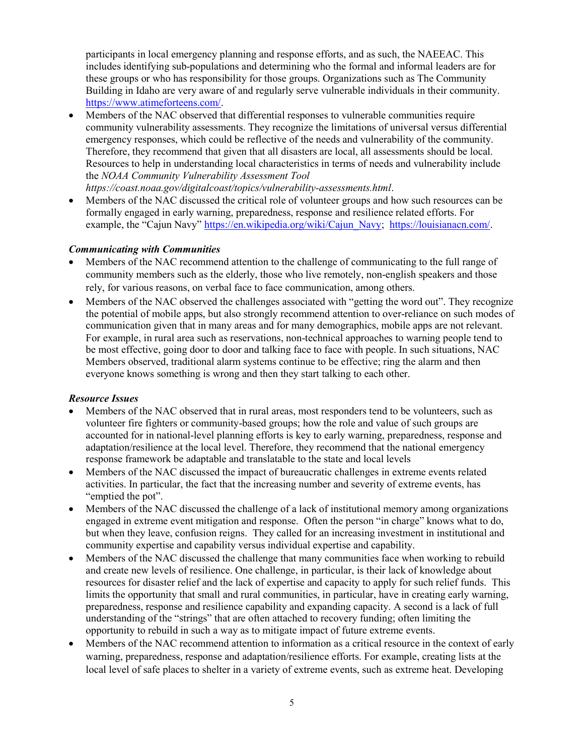participants in local emergency planning and response efforts, and as such, the NAEEAC. This includes identifying sub-populations and determining who the formal and informal leaders are for these groups or who has responsibility for those groups. Organizations such as The Community Building in Idaho are very aware of and regularly serve vulnerable individuals in their community. https://www.atimeforteens.com/.

 Members of the NAC observed that differential responses to vulnerable communities require community vulnerability assessments. They recognize the limitations of universal versus differential emergency responses, which could be reflective of the needs and vulnerability of the community. Therefore, they recommend that given that all disasters are local, all assessments should be local. Resources to help in understanding local characteristics in terms of needs and vulnerability include the NOAA Community Vulnerability Assessment Tool

https://coast.noaa.gov/digitalcoast/topics/vulnerability-assessments.html.

 Members of the NAC discussed the critical role of volunteer groups and how such resources can be formally engaged in early warning, preparedness, response and resilience related efforts. For example, the "Cajun Navy" https://en.wikipedia.org/wiki/Cajun\_Navy; https://louisianacn.com/.

#### Communicating with Communities

- Members of the NAC recommend attention to the challenge of communicating to the full range of community members such as the elderly, those who live remotely, non-english speakers and those rely, for various reasons, on verbal face to face communication, among others.
- Members of the NAC observed the challenges associated with "getting the word out". They recognize the potential of mobile apps, but also strongly recommend attention to over-reliance on such modes of communication given that in many areas and for many demographics, mobile apps are not relevant. For example, in rural area such as reservations, non-technical approaches to warning people tend to be most effective, going door to door and talking face to face with people. In such situations, NAC Members observed, traditional alarm systems continue to be effective; ring the alarm and then everyone knows something is wrong and then they start talking to each other.

#### Resource Issues

- Members of the NAC observed that in rural areas, most responders tend to be volunteers, such as volunteer fire fighters or community-based groups; how the role and value of such groups are accounted for in national-level planning efforts is key to early warning, preparedness, response and adaptation/resilience at the local level. Therefore, they recommend that the national emergency response framework be adaptable and translatable to the state and local levels
- Members of the NAC discussed the impact of bureaucratic challenges in extreme events related activities. In particular, the fact that the increasing number and severity of extreme events, has "emptied the pot".
- Members of the NAC discussed the challenge of a lack of institutional memory among organizations engaged in extreme event mitigation and response. Often the person "in charge" knows what to do, but when they leave, confusion reigns. They called for an increasing investment in institutional and community expertise and capability versus individual expertise and capability.
- Members of the NAC discussed the challenge that many communities face when working to rebuild and create new levels of resilience. One challenge, in particular, is their lack of knowledge about resources for disaster relief and the lack of expertise and capacity to apply for such relief funds. This limits the opportunity that small and rural communities, in particular, have in creating early warning, preparedness, response and resilience capability and expanding capacity. A second is a lack of full understanding of the "strings" that are often attached to recovery funding; often limiting the opportunity to rebuild in such a way as to mitigate impact of future extreme events.
- Members of the NAC recommend attention to information as a critical resource in the context of early warning, preparedness, response and adaptation/resilience efforts. For example, creating lists at the local level of safe places to shelter in a variety of extreme events, such as extreme heat. Developing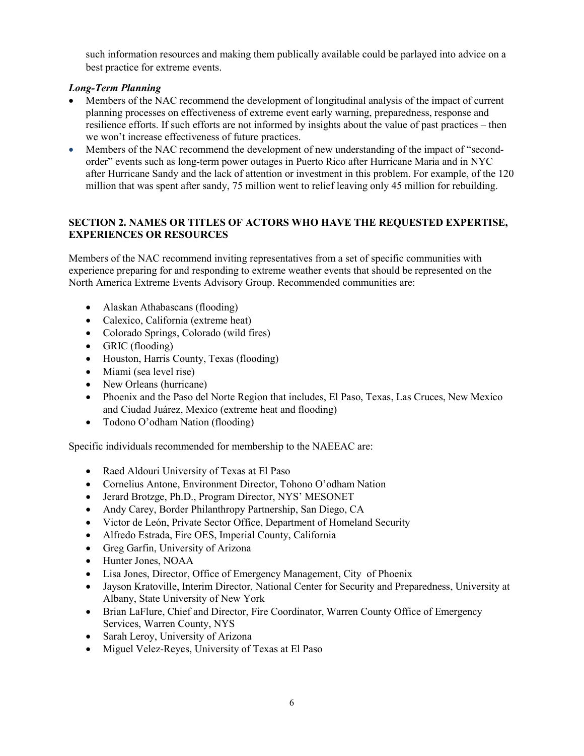such information resources and making them publically available could be parlayed into advice on a best practice for extreme events.

## Long-Term Planning

- Members of the NAC recommend the development of longitudinal analysis of the impact of current planning processes on effectiveness of extreme event early warning, preparedness, response and resilience efforts. If such efforts are not informed by insights about the value of past practices – then we won't increase effectiveness of future practices.
- Members of the NAC recommend the development of new understanding of the impact of "secondorder" events such as long-term power outages in Puerto Rico after Hurricane Maria and in NYC after Hurricane Sandy and the lack of attention or investment in this problem. For example, of the 120 million that was spent after sandy, 75 million went to relief leaving only 45 million for rebuilding.

### SECTION 2. NAMES OR TITLES OF ACTORS WHO HAVE THE REQUESTED EXPERTISE, EXPERIENCES OR RESOURCES

Members of the NAC recommend inviting representatives from a set of specific communities with experience preparing for and responding to extreme weather events that should be represented on the North America Extreme Events Advisory Group. Recommended communities are:

- Alaskan Athabascans (flooding)
- Calexico, California (extreme heat)
- Colorado Springs, Colorado (wild fires)
- GRIC (flooding)
- Houston, Harris County, Texas (flooding)
- Miami (sea level rise)
- New Orleans (hurricane)
- Phoenix and the Paso del Norte Region that includes, El Paso, Texas, Las Cruces, New Mexico and Ciudad Juárez, Mexico (extreme heat and flooding)
- Todono O'odham Nation (flooding)

Specific individuals recommended for membership to the NAEEAC are:

- Raed Aldouri University of Texas at El Paso
- Cornelius Antone, Environment Director, Tohono O'odham Nation
- Jerard Brotzge, Ph.D., Program Director, NYS' MESONET
- Andy Carey, Border Philanthropy Partnership, San Diego, CA
- Victor de León, Private Sector Office, Department of Homeland Security
- Alfredo Estrada, Fire OES, Imperial County, California
- Greg Garfin, University of Arizona
- Hunter Jones, NOAA
- Lisa Jones, Director, Office of Emergency Management, City of Phoenix
- Jayson Kratoville, Interim Director, National Center for Security and Preparedness, University at Albany, State University of New York
- Brian LaFlure, Chief and Director, Fire Coordinator, Warren County Office of Emergency Services, Warren County, NYS
- Sarah Leroy, University of Arizona
- Miguel Velez-Reyes, University of Texas at El Paso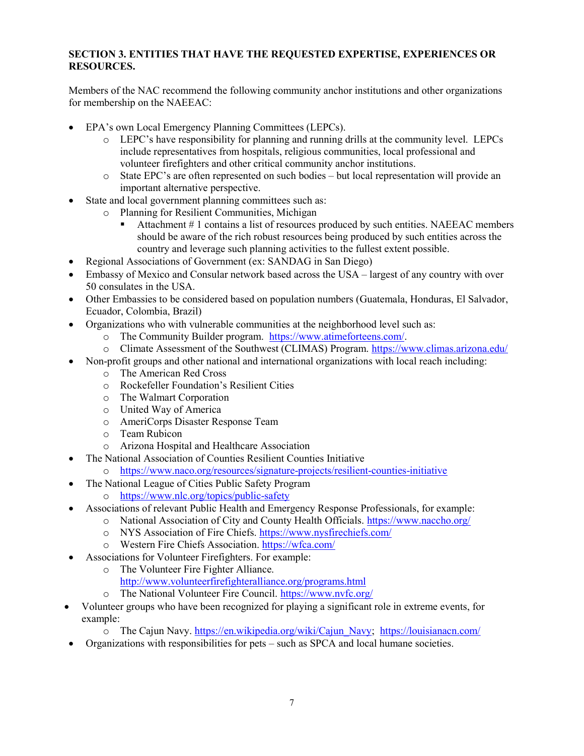### SECTION 3. ENTITIES THAT HAVE THE REQUESTED EXPERTISE, EXPERIENCES OR RESOURCES.

Members of the NAC recommend the following community anchor institutions and other organizations for membership on the NAEEAC:

- EPA's own Local Emergency Planning Committees (LEPCs).
	- o LEPC's have responsibility for planning and running drills at the community level. LEPCs include representatives from hospitals, religious communities, local professional and volunteer firefighters and other critical community anchor institutions.
	- o State EPC's are often represented on such bodies but local representation will provide an important alternative perspective.
- State and local government planning committees such as:
	- o Planning for Resilient Communities, Michigan
		- Attachment # 1 contains a list of resources produced by such entities. NAEEAC members should be aware of the rich robust resources being produced by such entities across the country and leverage such planning activities to the fullest extent possible.
- Regional Associations of Government (ex: SANDAG in San Diego)
- Embassy of Mexico and Consular network based across the USA largest of any country with over 50 consulates in the USA.
- Other Embassies to be considered based on population numbers (Guatemala, Honduras, El Salvador, Ecuador, Colombia, Brazil)
- Organizations who with vulnerable communities at the neighborhood level such as:
	- o The Community Builder program. https://www.atimeforteens.com/.
	- o Climate Assessment of the Southwest (CLIMAS) Program. https://www.climas.arizona.edu/
- Non-profit groups and other national and international organizations with local reach including:
	- o The American Red Cross
	- o Rockefeller Foundation's Resilient Cities
	- o The Walmart Corporation
	- o United Way of America
	- o AmeriCorps Disaster Response Team
	- o Team Rubicon
	- o Arizona Hospital and Healthcare Association
- The National Association of Counties Resilient Counties Initiative
	- o https://www.naco.org/resources/signature-projects/resilient-counties-initiative
- The National League of Cities Public Safety Program
	- o https://www.nlc.org/topics/public-safety
- Associations of relevant Public Health and Emergency Response Professionals, for example:
	- o National Association of City and County Health Officials. https://www.naccho.org/
	- o NYS Association of Fire Chiefs. https://www.nysfirechiefs.com/
	- o Western Fire Chiefs Association. https://wfca.com/
- Associations for Volunteer Firefighters. For example:
	- o The Volunteer Fire Fighter Alliance.
		- http://www.volunteerfirefighteralliance.org/programs.html
	- o The National Volunteer Fire Council. https://www.nvfc.org/
- Volunteer groups who have been recognized for playing a significant role in extreme events, for example:
	- o The Cajun Navy. https://en.wikipedia.org/wiki/Cajun\_Navy; https://louisianacn.com/
- Organizations with responsibilities for pets such as SPCA and local humane societies.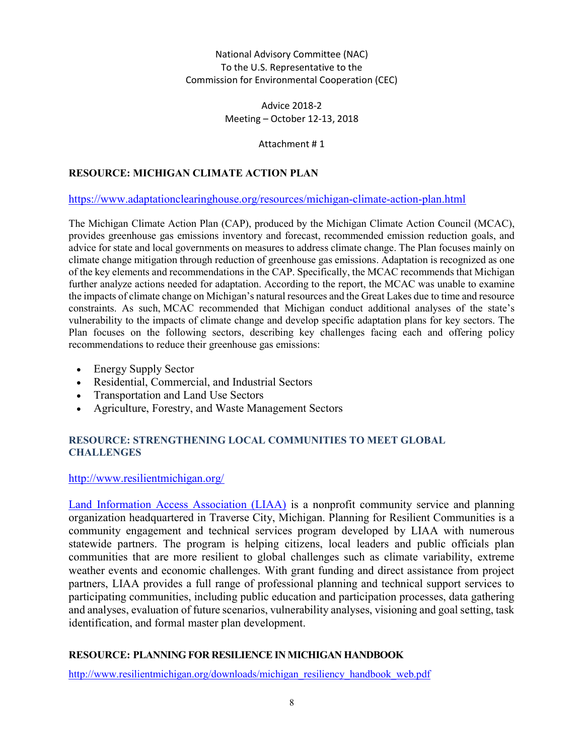### National Advisory Committee (NAC) To the U.S. Representative to the Commission for Environmental Cooperation (CEC)

Advice 2018-2 Meeting – October 12-13, 2018

Attachment # 1

# RESOURCE: MICHIGAN CLIMATE ACTION PLAN

### https://www.adaptationclearinghouse.org/resources/michigan-climate-action-plan.html

The Michigan Climate Action Plan (CAP), produced by the Michigan Climate Action Council (MCAC), provides greenhouse gas emissions inventory and forecast, recommended emission reduction goals, and advice for state and local governments on measures to address climate change. The Plan focuses mainly on climate change mitigation through reduction of greenhouse gas emissions. Adaptation is recognized as one of the key elements and recommendations in the CAP. Specifically, the MCAC recommends that Michigan further analyze actions needed for adaptation. According to the report, the MCAC was unable to examine the impacts of climate change on Michigan's natural resources and the Great Lakes due to time and resource constraints. As such, MCAC recommended that Michigan conduct additional analyses of the state's vulnerability to the impacts of climate change and develop specific adaptation plans for key sectors. The Plan focuses on the following sectors, describing key challenges facing each and offering policy recommendations to reduce their greenhouse gas emissions:

- Energy Supply Sector
- Residential, Commercial, and Industrial Sectors
- Transportation and Land Use Sectors
- Agriculture, Forestry, and Waste Management Sectors

### RESOURCE: STRENGTHENING LOCAL COMMUNITIES TO MEET GLOBAL **CHALLENGES**

### http://www.resilientmichigan.org/

Land Information Access Association (LIAA) is a nonprofit community service and planning organization headquartered in Traverse City, Michigan. Planning for Resilient Communities is a community engagement and technical services program developed by LIAA with numerous statewide partners. The program is helping citizens, local leaders and public officials plan communities that are more resilient to global challenges such as climate variability, extreme weather events and economic challenges. With grant funding and direct assistance from project partners, LIAA provides a full range of professional planning and technical support services to participating communities, including public education and participation processes, data gathering and analyses, evaluation of future scenarios, vulnerability analyses, visioning and goal setting, task identification, and formal master plan development.

### RESOURCE: PLANNING FOR RESILIENCE IN MICHIGAN HANDBOOK

http://www.resilientmichigan.org/downloads/michigan\_resiliency\_handbook\_web.pdf